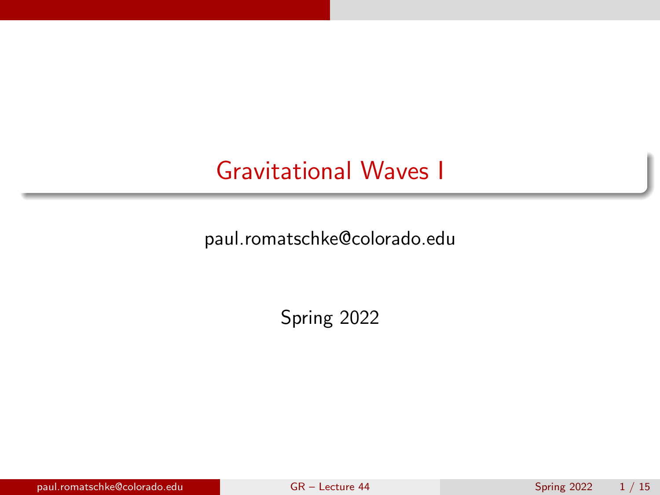## <span id="page-0-0"></span>Gravitational Waves I

paul.romatschke@colorado.edu

Spring 2022

paul.romatschke@colorado.edu [GR – Lecture 44](#page-14-0) Spring 2022 1 / 15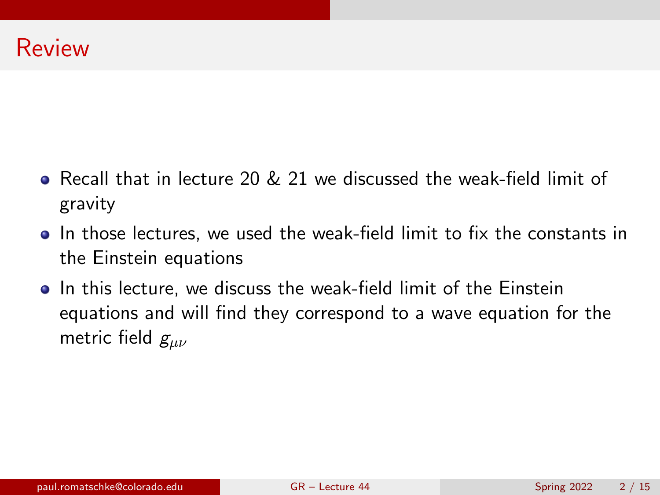- Recall that in lecture 20 & 21 we discussed the weak-field limit of gravity
- In those lectures, we used the weak-field limit to fix the constants in the Einstein equations
- **•** In this lecture, we discuss the weak-field limit of the Einstein equations and will find they correspond to a wave equation for the metric field  $g_{\mu\nu}$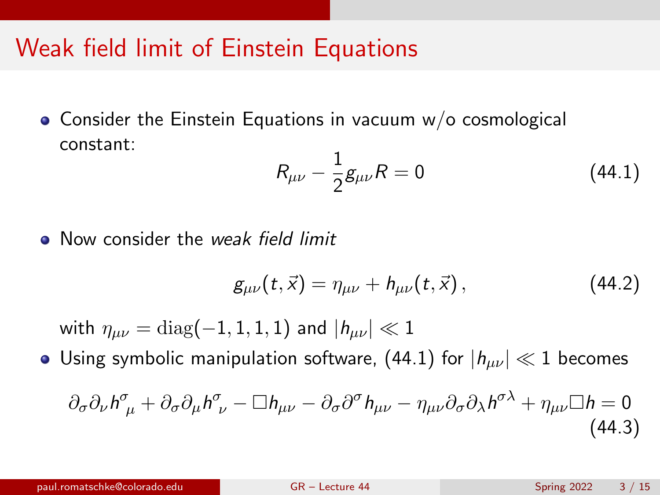## Weak field limit of Einstein Equations

Consider the Einstein Equations in vacuum w/o cosmological constant:

<span id="page-2-0"></span>
$$
R_{\mu\nu} - \frac{1}{2}g_{\mu\nu}R = 0 \tag{44.1}
$$

• Now consider the weak field limit

$$
g_{\mu\nu}(t,\vec{x}) = \eta_{\mu\nu} + h_{\mu\nu}(t,\vec{x}), \qquad (44.2)
$$

with  $\eta_{\mu\nu} = \text{diag}(-1, 1, 1, 1)$  and  $|h_{\mu\nu}| \ll 1$ 

• Using symbolic manipulation software, [\(44.1\)](#page-2-0) for  $|h_{\mu\nu}| \ll 1$  becomes

<span id="page-2-1"></span>
$$
\partial_{\sigma}\partial_{\nu}h^{\sigma}_{\mu} + \partial_{\sigma}\partial_{\mu}h^{\sigma}_{\nu} - \Box h_{\mu\nu} - \partial_{\sigma}\partial^{\sigma}h_{\mu\nu} - \eta_{\mu\nu}\partial_{\sigma}\partial_{\lambda}h^{\sigma\lambda} + \eta_{\mu\nu}\Box h = 0
$$
\n(44.3)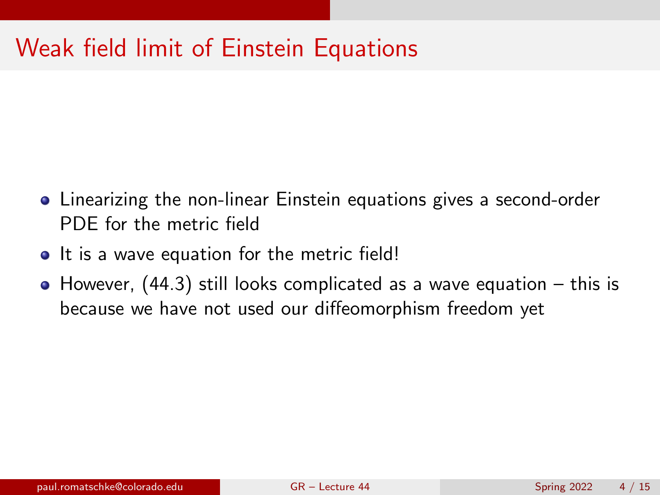# Weak field limit of Einstein Equations

- Linearizing the non-linear Einstein equations gives a second-order PDE for the metric field
- It is a wave equation for the metric field!
- $\bullet$  However, [\(44.3\)](#page-2-1) still looks complicated as a wave equation this is because we have not used our diffeomorphism freedom yet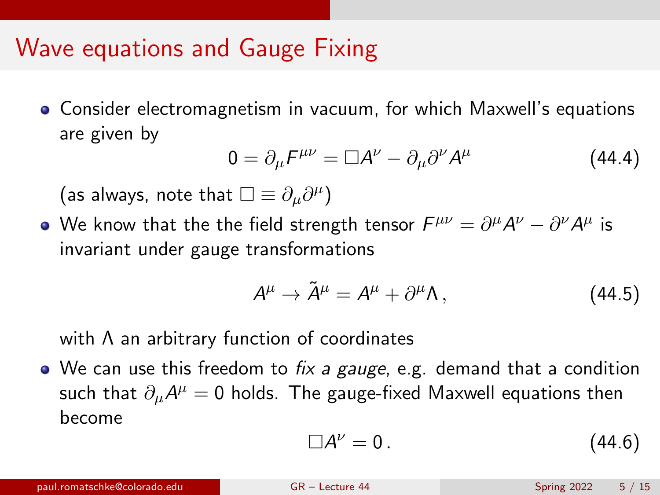#### Wave equations and Gauge Fixing

Consider electromagnetism in vacuum, for which Maxwell's equations are given by

$$
0 = \partial_{\mu} F^{\mu\nu} = \Box A^{\nu} - \partial_{\mu} \partial^{\nu} A^{\mu} \tag{44.4}
$$

(as always, note that  $\square \equiv \partial_\mu \partial^\mu)$ 

We know that the the field strength tensor  $F^{\mu\nu} = \partial^\mu A^\nu - \partial^\nu A^\mu$  is invariant under gauge transformations

$$
A^{\mu} \to \tilde{A}^{\mu} = A^{\mu} + \partial^{\mu} \Lambda, \qquad (44.5)
$$

with Λ an arbitrary function of coordinates

 $\bullet$  We can use this freedom to *fix a gauge*, e.g. demand that a condition such that  $\partial_\mu {\cal A}^\mu =0$  holds. The gauge-fixed Maxwell equations then become

$$
\Box A^{\nu} = 0. \tag{44.6}
$$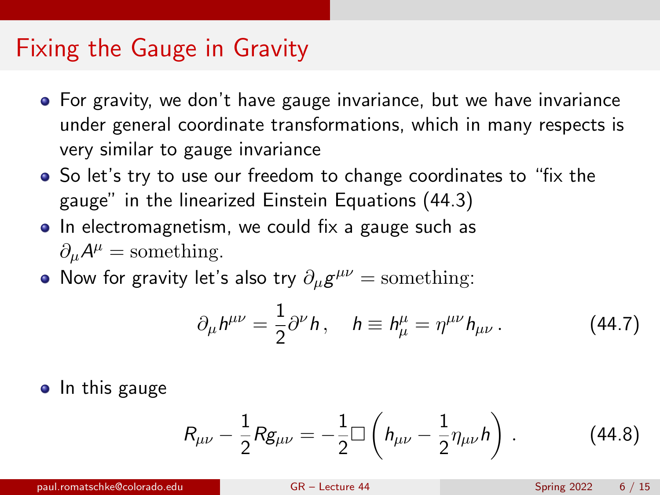### Fixing the Gauge in Gravity

- **•** For gravity, we don't have gauge invariance, but we have invariance under general coordinate transformations, which in many respects is very similar to gauge invariance
- So let's try to use our freedom to change coordinates to "fix the gauge" in the linearized Einstein Equations [\(44.3\)](#page-2-1)
- In electromagnetism, we could fix a gauge such as  $\partial_{\mu}A^{\mu} =$  something.
- Now for gravity let's also try  $\partial_{\mu}g^{\mu\nu} =$  something:

$$
\partial_{\mu}h^{\mu\nu} = \frac{1}{2}\partial^{\nu}h, \quad h \equiv h^{\mu}_{\mu} = \eta^{\mu\nu}h_{\mu\nu}.
$$
 (44.7)

• In this gauge

$$
R_{\mu\nu} - \frac{1}{2} R g_{\mu\nu} = -\frac{1}{2} \Box \left( h_{\mu\nu} - \frac{1}{2} \eta_{\mu\nu} h \right) . \tag{44.8}
$$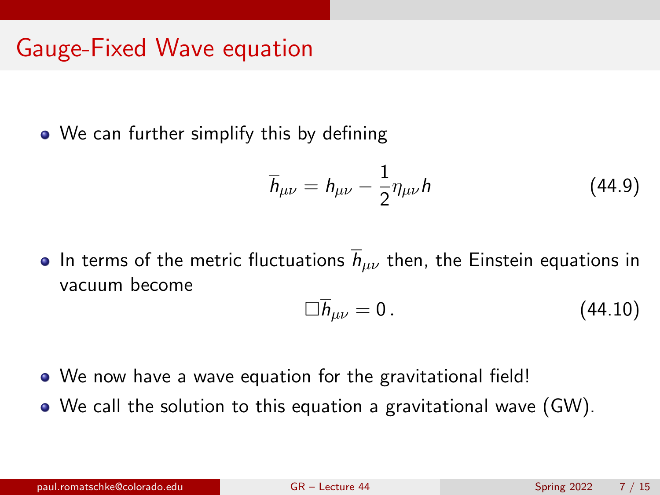## Gauge-Fixed Wave equation

• We can further simplify this by defining

$$
\overline{h}_{\mu\nu} = h_{\mu\nu} - \frac{1}{2} \eta_{\mu\nu} h \tag{44.9}
$$

• In terms of the metric fluctuations  $\overline{h}_{\mu\nu}$  then, the Einstein equations in vacuum become

<span id="page-6-0"></span>
$$
\Box \overline{h}_{\mu\nu} = 0. \tag{44.10}
$$

- We now have a wave equation for the gravitational field!
- We call the solution to this equation a gravitational wave (GW).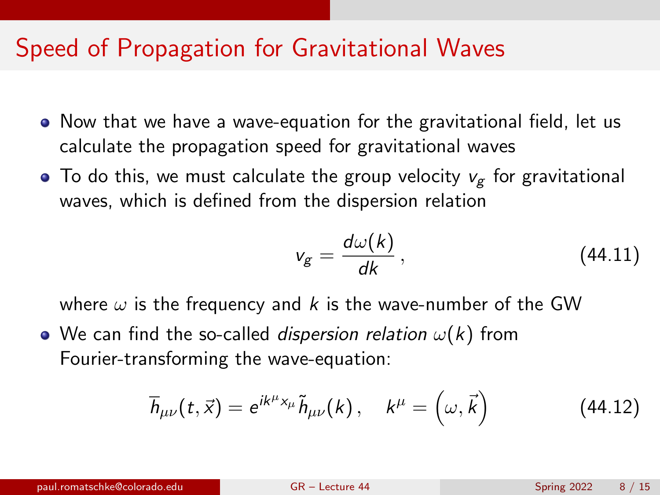## Speed of Propagation for Gravitational Waves

- Now that we have a wave-equation for the gravitational field, let us calculate the propagation speed for gravitational waves
- $\bullet$  To do this, we must calculate the group velocity  $v_{\rm g}$  for gravitational waves, which is defined from the dispersion relation

$$
v_g = \frac{d\omega(k)}{dk},\qquad(44.11)
$$

where  $\omega$  is the frequency and k is the wave-number of the GW

• We can find the so-called *dispersion relation*  $\omega(k)$  from Fourier-transforming the wave-equation:

$$
\overline{h}_{\mu\nu}(t,\vec{x}) = e^{ik^{\mu}x_{\mu}}\tilde{h}_{\mu\nu}(k), \quad k^{\mu} = (\omega,\vec{k})
$$
 (44.12)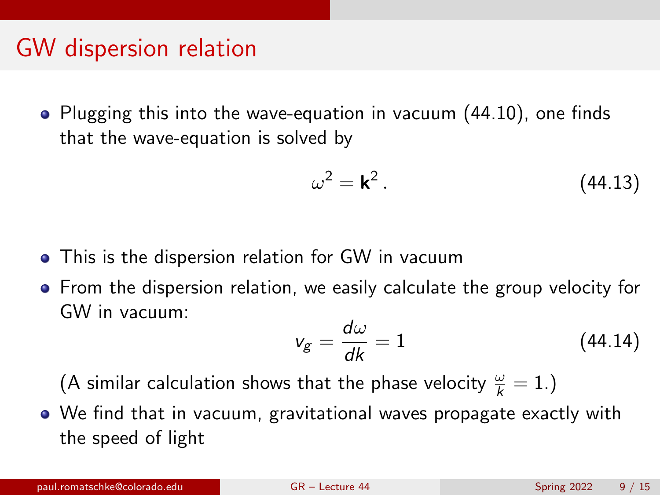### GW dispersion relation

Plugging this into the wave-equation in vacuum [\(44.10\)](#page-6-0), one finds that the wave-equation is solved by

$$
\omega^2 = \mathbf{k}^2. \tag{44.13}
$$

- **•** This is the dispersion relation for GW in vacuum
- From the dispersion relation, we easily calculate the group velocity for GW in vacuum:

$$
v_g = \frac{d\omega}{dk} = 1\tag{44.14}
$$

(A similar calculation shows that the phase velocity  $\frac{\omega}{k} = 1$ .)

We find that in vacuum, gravitational waves propagate exactly with the speed of light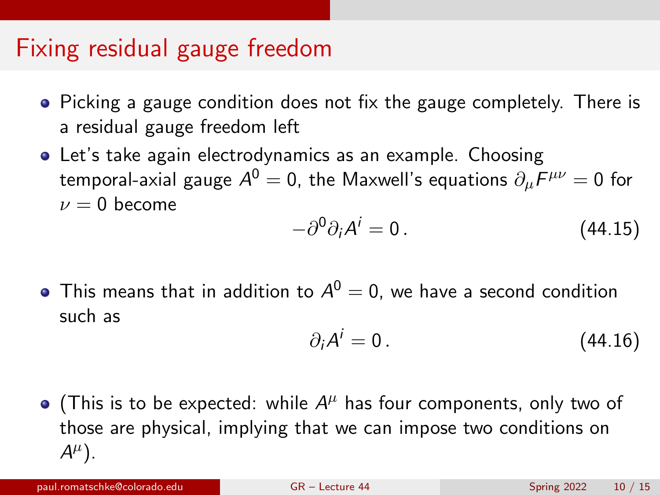### Fixing residual gauge freedom

- Picking a gauge condition does not fix the gauge completely. There is a residual gauge freedom left
- Let's take again electrodynamics as an example. Choosing temporal-axial gauge  $\mathcal{A}^{0}=0$ , the Maxwell's equations  $\partial_{\mu}F^{\mu\nu}=0$  for  $\nu = 0$  become

$$
-\partial^0 \partial_i A^i = 0. \qquad (44.15)
$$

This means that in addition to  $A^0=0$ , we have a second condition such as

$$
\partial_i A^i = 0. \tag{44.16}
$$

(This is to be expected: while  $A^{\mu}$  has four components, only two of those are physical, implying that we can impose two conditions on  $A^{\mu}$ ).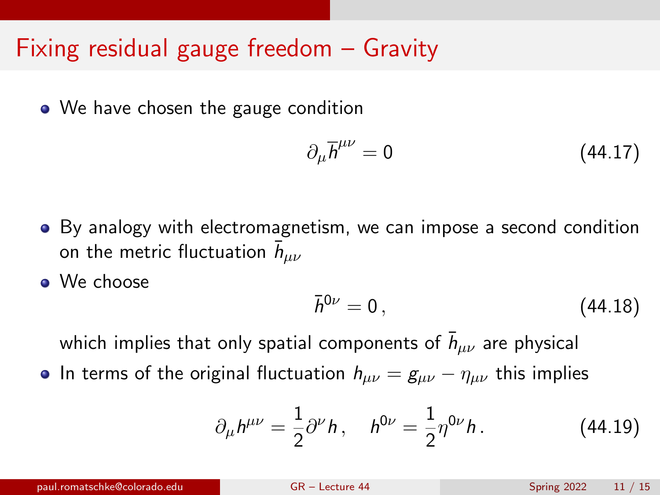• We have chosen the gauge condition

$$
\partial_{\mu}\overline{h}^{\mu\nu} = 0 \tag{44.17}
$$

- By analogy with electromagnetism, we can impose a second condition on the metric fluctuation  $\bar{h}_{\mu\nu}$
- **a** We choose

$$
\bar{h}^{0\nu}=0\,,\tag{44.18}
$$

which implies that only spatial components of  $\bar{h}_{\mu\nu}$  are physical

• In terms of the original fluctuation  $h_{\mu\nu} = g_{\mu\nu} - \eta_{\mu\nu}$  this implies

$$
\partial_{\mu}h^{\mu\nu} = \frac{1}{2}\partial^{\nu}h, \quad h^{0\nu} = \frac{1}{2}\eta^{0\nu}h. \tag{44.19}
$$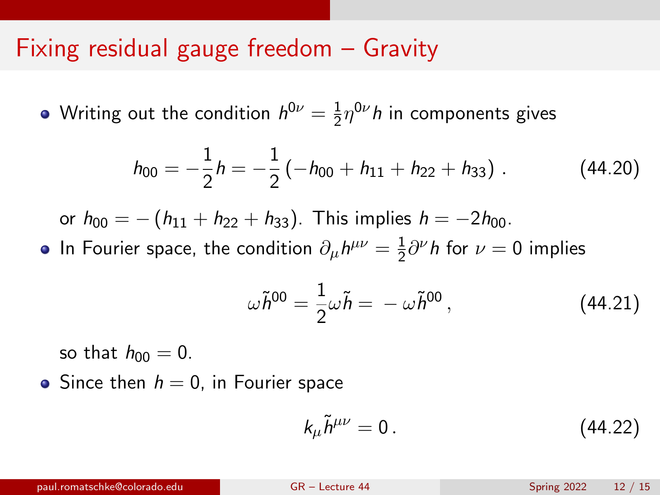Writing out the condition  $h^{0\nu}=\frac{1}{2}$  $\frac{1}{2}\eta^{0\nu}h$  in components gives

$$
h_{00} = -\frac{1}{2}h = -\frac{1}{2}(-h_{00} + h_{11} + h_{22} + h_{33}).
$$
 (44.20)

or  $h_{00} = -(h_{11} + h_{22} + h_{33})$ . This implies  $h = -2h_{00}$ .

In Fourier space, the condition  $\partial_\mu h^{\mu\nu} = \frac{1}{2}$  $\frac{1}{2}\partial^{\nu}h$  for  $\nu=0$  implies

$$
\omega \tilde{h}^{00} = \frac{1}{2} \omega \tilde{h} = -\omega \tilde{h}^{00}, \qquad (44.21)
$$

so that  $h_{00} = 0$ .

• Since then  $h = 0$ , in Fourier space

$$
k_{\mu}\tilde{h}^{\mu\nu}=0\,. \tag{44.22}
$$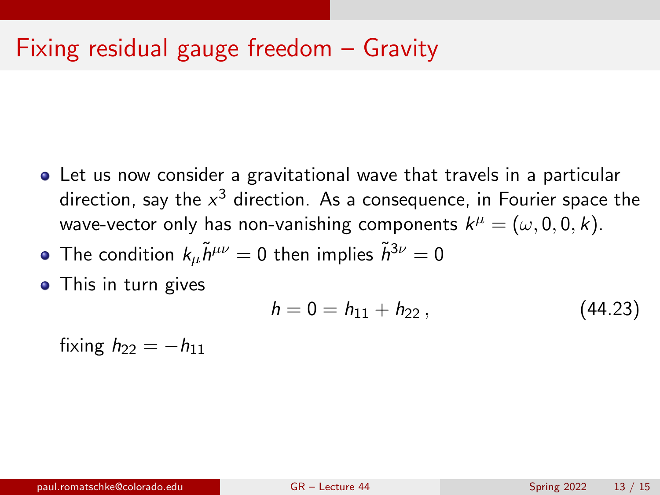- Let us now consider a gravitational wave that travels in a particular direction, say the  $\mathsf{x}^3$  direction. As a consequence, in Fourier space the wave-vector only has non-vanishing components  $k^\mu = (\omega,0,0,k).$
- The condition  $k_{\mu} \tilde{h}^{\mu\nu} = 0$  then implies  $\tilde{h}^{3\nu} = 0$
- This in turn gives

$$
h = 0 = h_{11} + h_{22}, \qquad (44.23)
$$

fixing  $h_{22} = -h_{11}$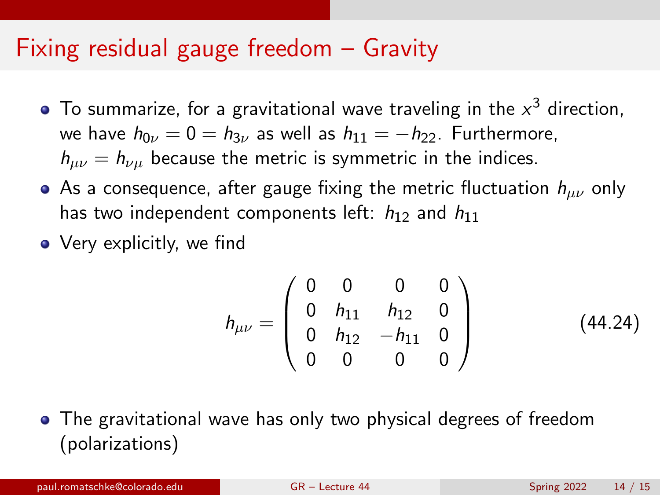- To summarize, for a gravitational wave traveling in the  $x^3$  direction, we have  $h_{0\nu} = 0 = h_{3\nu}$  as well as  $h_{11} = -h_{22}$ . Furthermore,  $h_{\mu\nu} = h_{\nu\mu}$  because the metric is symmetric in the indices.
- As a consequence, after gauge fixing the metric fluctuation  $h_{\mu\nu}$  only has two independent components left:  $h_{12}$  and  $h_{11}$
- Very explicitly, we find

$$
h_{\mu\nu} = \begin{pmatrix} 0 & 0 & 0 & 0 \\ 0 & h_{11} & h_{12} & 0 \\ 0 & h_{12} & -h_{11} & 0 \\ 0 & 0 & 0 & 0 \end{pmatrix}
$$
 (44.24)

The gravitational wave has only two physical degrees of freedom (polarizations)